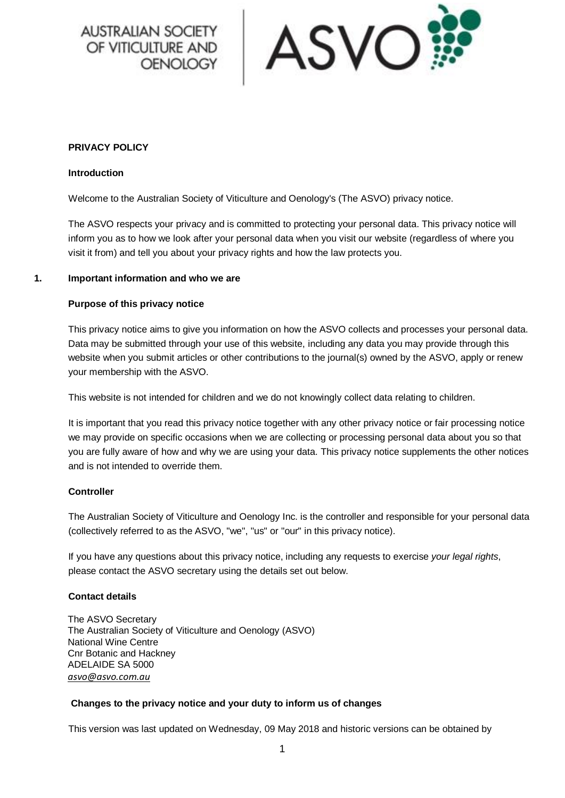**AUSTRALIAN SOCIETY** OF VITICULTURE AND **OENOLOGY** 



#### **PRIVACY POLICY**

#### **Introduction**

Welcome to the Australian Society of Viticulture and Oenology's (The ASVO) privacy notice.

The ASVO respects your privacy and is committed to protecting your personal data. This privacy notice will inform you as to how we look after your personal data when you visit our website (regardless of where you visit it from) and tell you about your privacy rights and how the law protects you.

#### **1. Important information and who we are**

#### **Purpose of this privacy notice**

This privacy notice aims to give you information on how the ASVO collects and processes your personal data. Data may be submitted through your use of this website, including any data you may provide through this website when you submit articles or other contributions to the journal(s) owned by the ASVO, apply or renew your membership with the ASVO.

This website is not intended for children and we do not knowingly collect data relating to children.

It is important that you read this privacy notice together with any other privacy notice or fair processing notice we may provide on specific occasions when we are collecting or processing personal data about you so that you are fully aware of how and why we are using your data. This privacy notice supplements the other notices and is not intended to override them.

#### **Controller**

The Australian Society of Viticulture and Oenology Inc. is the controller and responsible for your personal data (collectively referred to as the ASVO, "we", "us" or "our" in this privacy notice).

If you have any questions about this privacy notice, including any requests to exercise *your legal rights*, please contact the ASVO secretary using the details set out below.

#### **Contact details**

The ASVO Secretary The Australian Society of Viticulture and Oenology (ASVO) National Wine Centre Cnr Botanic and Hackney ADELAIDE SA 5000 *[asvo@asvo.com.au](mailto:asvo@asvo.com.au)*

#### **Changes to the privacy notice and your duty to inform us of changes**

This version was last updated on Wednesday, 09 May 2018 and historic versions can be obtained by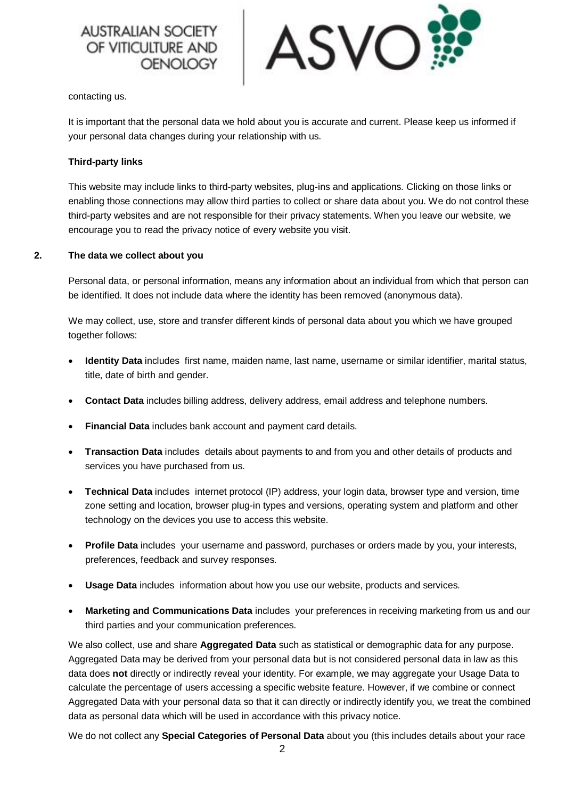



contacting us.

It is important that the personal data we hold about you is accurate and current. Please keep us informed if your personal data changes during your relationship with us.

#### **Third-party links**

This website may include links to third-party websites, plug-ins and applications. Clicking on those links or enabling those connections may allow third parties to collect or share data about you. We do not control these third-party websites and are not responsible for their privacy statements. When you leave our website, we encourage you to read the privacy notice of every website you visit.

#### **2. The data we collect about you**

Personal data, or personal information, means any information about an individual from which that person can be identified. It does not include data where the identity has been removed (anonymous data).

We may collect, use, store and transfer different kinds of personal data about you which we have grouped together follows:

- **Identity Data** includes first name, maiden name, last name, username or similar identifier, marital status, title, date of birth and gender.
- **Contact Data** includes billing address, delivery address, email address and telephone numbers.
- **Financial Data** includes bank account and payment card details.
- **Transaction Data** includes details about payments to and from you and other details of products and services you have purchased from us.
- **Technical Data** includes internet protocol (IP) address, your login data, browser type and version, time zone setting and location, browser plug-in types and versions, operating system and platform and other technology on the devices you use to access this website.
- **Profile Data** includes your username and password, purchases or orders made by you, your interests, preferences, feedback and survey responses.
- **Usage Data** includes information about how you use our website, products and services.
- **Marketing and Communications Data** includes your preferences in receiving marketing from us and our third parties and your communication preferences.

We also collect, use and share **Aggregated Data** such as statistical or demographic data for any purpose. Aggregated Data may be derived from your personal data but is not considered personal data in law as this data does **not** directly or indirectly reveal your identity. For example, we may aggregate your Usage Data to calculate the percentage of users accessing a specific website feature. However, if we combine or connect Aggregated Data with your personal data so that it can directly or indirectly identify you, we treat the combined data as personal data which will be used in accordance with this privacy notice.

We do not collect any **Special Categories of Personal Data** about you (this includes details about your race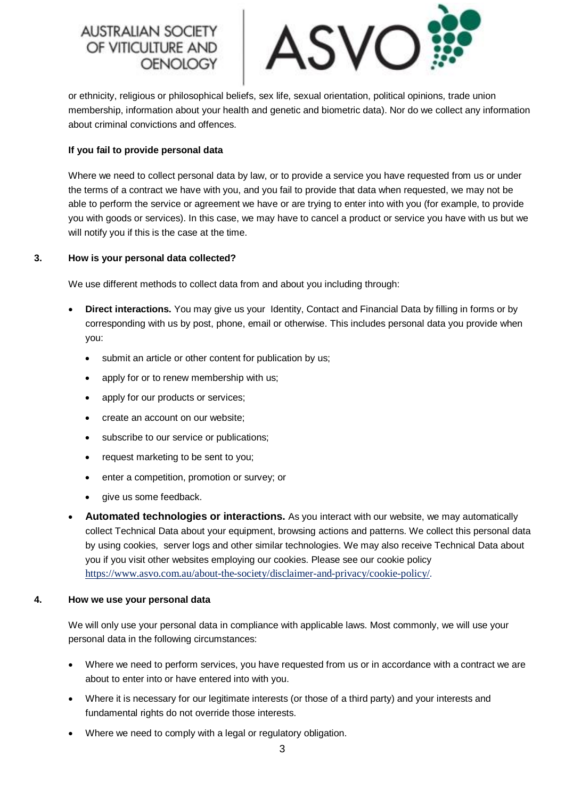# **AUSTRALIAN SOC** OF VITICULTURE AND OENOLOGY



or ethnicity, religious or philosophical beliefs, sex life, sexual orientation, political opinions, trade union membership, information about your health and genetic and biometric data). Nor do we collect any information about criminal convictions and offences.

# **If you fail to provide personal data**

Where we need to collect personal data by law, or to provide a service you have requested from us or under the terms of a contract we have with you, and you fail to provide that data when requested, we may not be able to perform the service or agreement we have or are trying to enter into with you (for example, to provide you with goods or services). In this case, we may have to cancel a product or service you have with us but we will notify you if this is the case at the time.

# **3. How is your personal data collected?**

We use different methods to collect data from and about you including through:

- **Direct interactions.** You may give us your Identity, Contact and Financial Data by filling in forms or by corresponding with us by post, phone, email or otherwise. This includes personal data you provide when you:
	- submit an article or other content for publication by us;
	- apply for or to renew membership with us;
	- apply for our products or services;
	- create an account on our website;
	- subscribe to our service or publications;
	- request marketing to be sent to you;
	- enter a competition, promotion or survey; or
	- give us some feedback.
- **Automated technologies or interactions.** As you interact with our website, we may automatically collect Technical Data about your equipment, browsing actions and patterns. We collect this personal data by using cookies, server logs and other similar technologies. We may also receive Technical Data about you if you visit other websites employing our cookies. Please see our cookie policy <https://www.asvo.com.au/about-the-society/disclaimer-and-privacy/cookie-policy/>*.*

# **4. How we use your personal data**

We will only use your personal data in compliance with applicable laws. Most commonly, we will use your personal data in the following circumstances:

- Where we need to perform services, you have requested from us or in accordance with a contract we are about to enter into or have entered into with you.
- Where it is necessary for our legitimate interests (or those of a third party) and your interests and fundamental rights do not override those interests.
- Where we need to comply with a legal or regulatory obligation.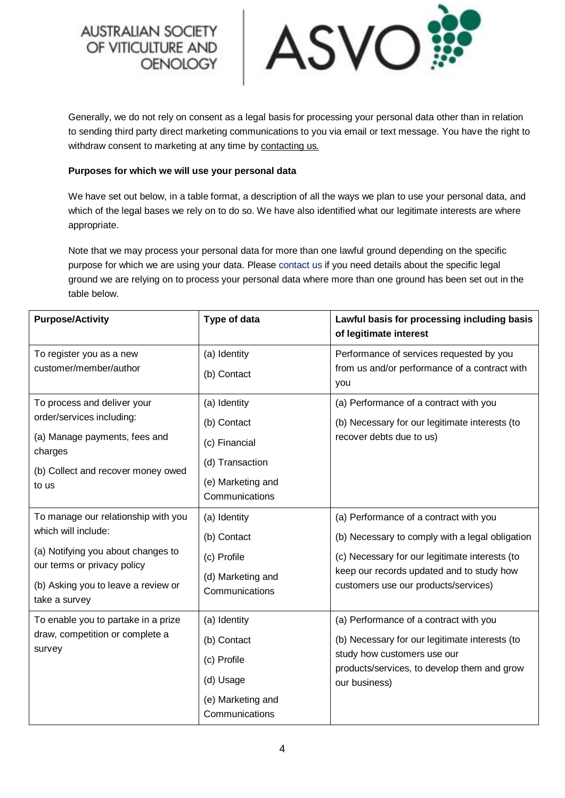**AUSTRALIAN SOCIETY** OF VITICULTURE AND **OENOLOGY** 



Generally, we do not rely on consent as a legal basis for processing your personal data other than in relation to sending third party direct marketing communications to you via email or text message. You have the right to withdraw consent to marketing at any time by [contacting us](mailto:asvo@asvo.com.au)*.*

## **Purposes for which we will use your personal data**

We have set out below, in a table format, a description of all the ways we plan to use your personal data, and which of the legal bases we rely on to do so. We have also identified what our legitimate interests are where appropriate.

Note that we may process your personal data for more than one lawful ground depending on the specific purpose for which we are using your data. Please [contact us](mailto:asvo@asvo.com.au) if you need details about the specific legal ground we are relying on to process your personal data where more than one ground has been set out in the table below.

| <b>Purpose/Activity</b>                                                                                                                                                                 | Type of data                                                                                           | Lawful basis for processing including basis<br>of legitimate interest                                                                                                                                                            |
|-----------------------------------------------------------------------------------------------------------------------------------------------------------------------------------------|--------------------------------------------------------------------------------------------------------|----------------------------------------------------------------------------------------------------------------------------------------------------------------------------------------------------------------------------------|
| To register you as a new<br>customer/member/author                                                                                                                                      | (a) Identity<br>(b) Contact                                                                            | Performance of services requested by you<br>from us and/or performance of a contract with<br>you                                                                                                                                 |
| To process and deliver your<br>order/services including:<br>(a) Manage payments, fees and<br>charges<br>(b) Collect and recover money owed<br>to us                                     | (a) Identity<br>(b) Contact<br>(c) Financial<br>(d) Transaction<br>(e) Marketing and<br>Communications | (a) Performance of a contract with you<br>(b) Necessary for our legitimate interests (to<br>recover debts due to us)                                                                                                             |
| To manage our relationship with you<br>which will include:<br>(a) Notifying you about changes to<br>our terms or privacy policy<br>(b) Asking you to leave a review or<br>take a survey | (a) Identity<br>(b) Contact<br>(c) Profile<br>(d) Marketing and<br>Communications                      | (a) Performance of a contract with you<br>(b) Necessary to comply with a legal obligation<br>(c) Necessary for our legitimate interests (to<br>keep our records updated and to study how<br>customers use our products/services) |
| To enable you to partake in a prize<br>draw, competition or complete a<br>survey                                                                                                        | (a) Identity<br>(b) Contact<br>(c) Profile<br>(d) Usage<br>(e) Marketing and<br>Communications         | (a) Performance of a contract with you<br>(b) Necessary for our legitimate interests (to<br>study how customers use our<br>products/services, to develop them and grow<br>our business)                                          |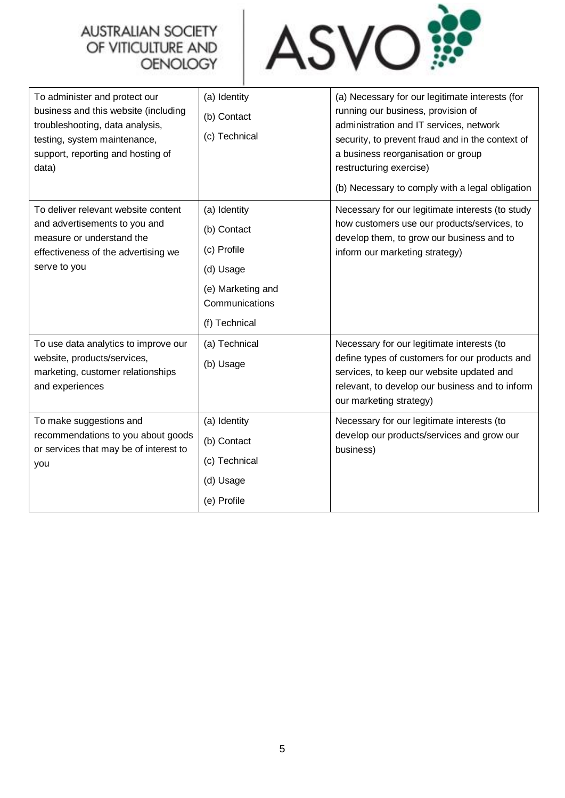# **AUSTRALIAN SOCIETY** OF VITICULTURE AND<br>OENOLOGY



| To administer and protect our<br>business and this website (including<br>troubleshooting, data analysis,<br>testing, system maintenance,<br>support, reporting and hosting of<br>data) | (a) Identity<br>(b) Contact<br>(c) Technical                                                                    | (a) Necessary for our legitimate interests (for<br>running our business, provision of<br>administration and IT services, network<br>security, to prevent fraud and in the context of<br>a business reorganisation or group<br>restructuring exercise)<br>(b) Necessary to comply with a legal obligation |
|----------------------------------------------------------------------------------------------------------------------------------------------------------------------------------------|-----------------------------------------------------------------------------------------------------------------|----------------------------------------------------------------------------------------------------------------------------------------------------------------------------------------------------------------------------------------------------------------------------------------------------------|
| To deliver relevant website content<br>and advertisements to you and<br>measure or understand the<br>effectiveness of the advertising we<br>serve to you                               | (a) Identity<br>(b) Contact<br>(c) Profile<br>(d) Usage<br>(e) Marketing and<br>Communications<br>(f) Technical | Necessary for our legitimate interests (to study<br>how customers use our products/services, to<br>develop them, to grow our business and to<br>inform our marketing strategy)                                                                                                                           |
| To use data analytics to improve our<br>website, products/services,<br>marketing, customer relationships<br>and experiences                                                            | (a) Technical<br>(b) Usage                                                                                      | Necessary for our legitimate interests (to<br>define types of customers for our products and<br>services, to keep our website updated and<br>relevant, to develop our business and to inform<br>our marketing strategy)                                                                                  |
| To make suggestions and<br>recommendations to you about goods<br>or services that may be of interest to<br>you                                                                         | (a) Identity<br>(b) Contact<br>(c) Technical<br>(d) Usage<br>(e) Profile                                        | Necessary for our legitimate interests (to<br>develop our products/services and grow our<br>business)                                                                                                                                                                                                    |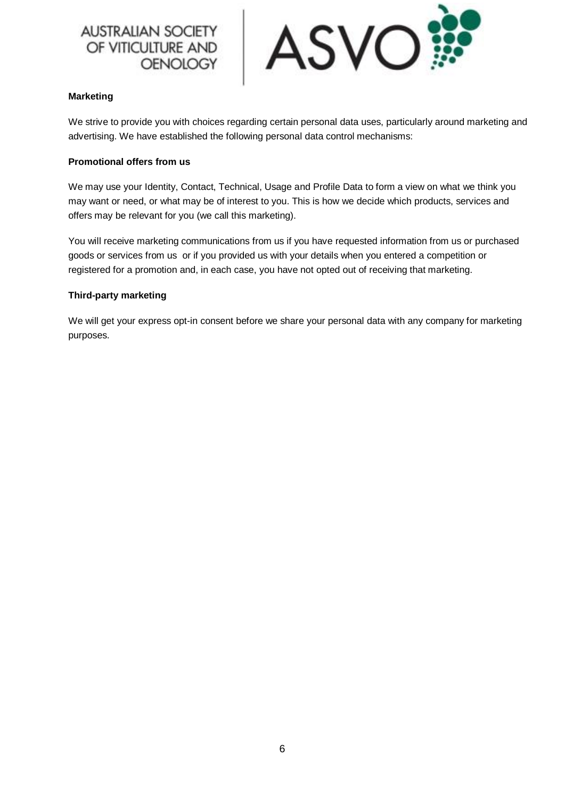# **AUSTRALIAN SOCIETY** OF VITICULTURE AND **OENOLOGY**



# **Marketing**

We strive to provide you with choices regarding certain personal data uses, particularly around marketing and advertising. We have established the following personal data control mechanisms:

# **Promotional offers from us**

We may use your Identity, Contact, Technical, Usage and Profile Data to form a view on what we think you may want or need, or what may be of interest to you. This is how we decide which products, services and offers may be relevant for you (we call this marketing).

You will receive marketing communications from us if you have requested information from us or purchased goods or services from us or if you provided us with your details when you entered a competition or registered for a promotion and, in each case, you have not opted out of receiving that marketing.

# **Third-party marketing**

We will get your express opt-in consent before we share your personal data with any company for marketing purposes.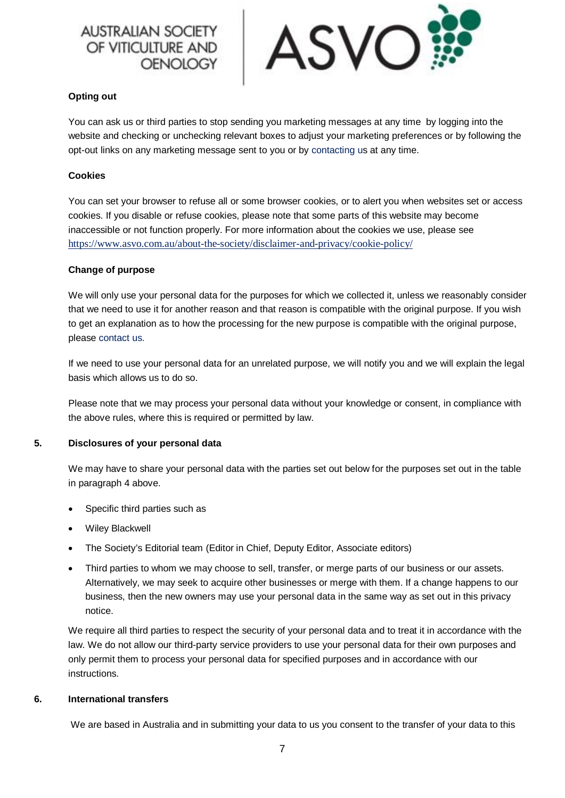# **AUSTRALIAN SOCIETY** OF VITICULTURE AND



# **Opting out**

You can ask us or third parties to stop sending you marketing messages at any time by logging into the website and checking or unchecking relevant boxes to adjust your marketing preferences or by following the opt-out links on any marketing message sent to you or by [contacting us](mailto:asvo@asvo.com.au) at any time.

# **Cookies**

You can set your browser to refuse all or some browser cookies, or to alert you when websites set or access cookies. If you disable or refuse cookies, please note that some parts of this website may become inaccessible or not function properly. For more information about the cookies we use, please see <https://www.asvo.com.au/about-the-society/disclaimer-and-privacy/cookie-policy/>

# **Change of purpose**

We will only use your personal data for the purposes for which we collected it, unless we reasonably consider that we need to use it for another reason and that reason is compatible with the original purpose. If you wish to get an explanation as to how the processing for the new purpose is compatible with the original purpose, please [contact us.](mailto:asvo@asvo.com.au)

If we need to use your personal data for an unrelated purpose, we will notify you and we will explain the legal basis which allows us to do so.

Please note that we may process your personal data without your knowledge or consent, in compliance with the above rules, where this is required or permitted by law.

# **5. Disclosures of your personal data**

We may have to share your personal data with the parties set out below for the purposes set out in the table in paragraph 4 above.

- Specific third parties such as
- Wiley Blackwell
- The Society's Editorial team (Editor in Chief, Deputy Editor, Associate editors)
- Third parties to whom we may choose to sell, transfer, or merge parts of our business or our assets. Alternatively, we may seek to acquire other businesses or merge with them. If a change happens to our business, then the new owners may use your personal data in the same way as set out in this privacy notice.

We require all third parties to respect the security of your personal data and to treat it in accordance with the law. We do not allow our third-party service providers to use your personal data for their own purposes and only permit them to process your personal data for specified purposes and in accordance with our instructions.

# **6. International transfers**

We are based in Australia and in submitting your data to us you consent to the transfer of your data to this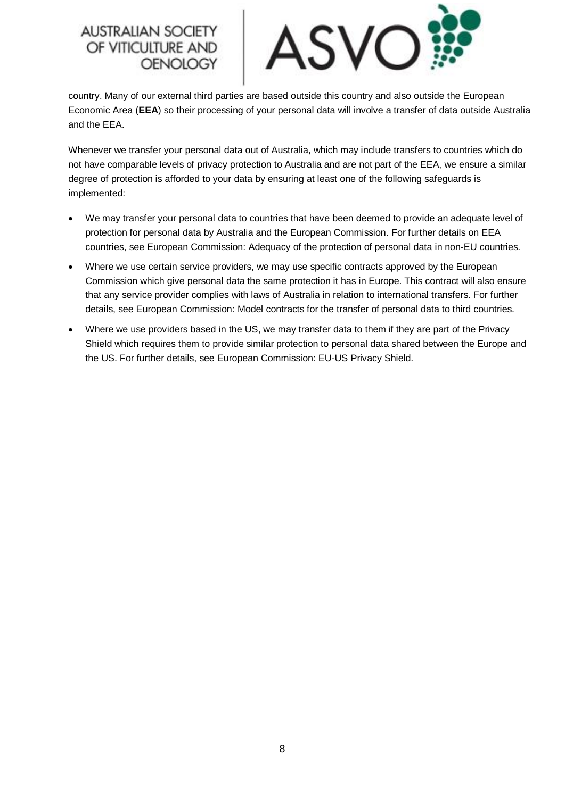# **AUSTRALIAN SOCIET** OF VITICULTURE AND **OENOLOGY**



country. Many of our external third parties are based outside this country and also outside the European Economic Area (**EEA**) so their processing of your personal data will involve a transfer of data outside Australia and the EEA.

Whenever we transfer your personal data out of Australia, which may include transfers to countries which do not have comparable levels of privacy protection to Australia and are not part of the EEA, we ensure a similar degree of protection is afforded to your data by ensuring at least one of the following safeguards is implemented:

- We may transfer your personal data to countries that have been deemed to provide an adequate level of protection for personal data by Australia and the European Commission. For further details on EEA countries, see European Commission: Adequacy of the protection of personal data in non-EU countries.
- Where we use certain service providers, we may use specific contracts approved by the European Commission which give personal data the same protection it has in Europe. This contract will also ensure that any service provider complies with laws of Australia in relation to international transfers. For further details, see European Commission: Model contracts for the transfer of personal data to third countries.
- Where we use providers based in the US, we may transfer data to them if they are part of the Privacy Shield which requires them to provide similar protection to personal data shared between the Europe and the US. For further details, see European Commission: EU-US Privacy Shield.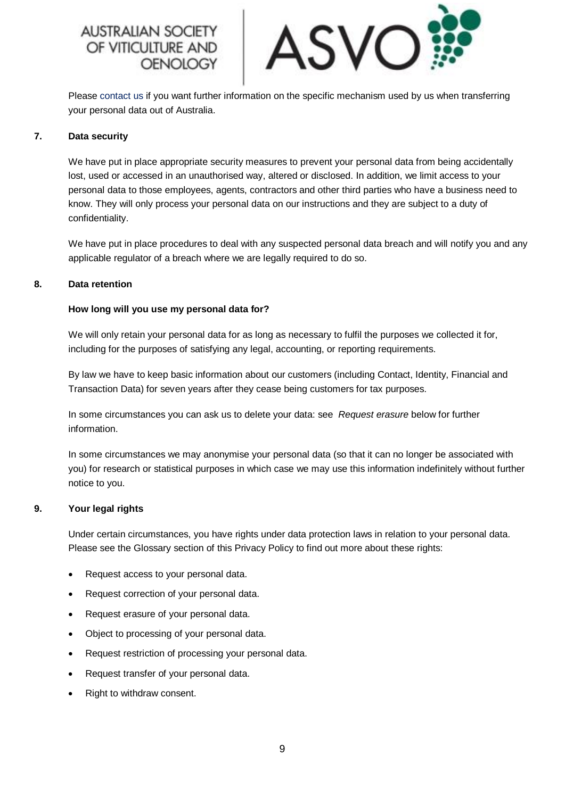**AUSTRALIAN SOC** OF VITICULTURE AND OENOLOGY



Please [contact us](mailto:asvo@asvo.com.au) if you want further information on the specific mechanism used by us when transferring your personal data out of Australia.

## **7. Data security**

We have put in place appropriate security measures to prevent your personal data from being accidentally lost, used or accessed in an unauthorised way, altered or disclosed. In addition, we limit access to your personal data to those employees, agents, contractors and other third parties who have a business need to know. They will only process your personal data on our instructions and they are subject to a duty of confidentiality.

We have put in place procedures to deal with any suspected personal data breach and will notify you and any applicable regulator of a breach where we are legally required to do so.

## **8. Data retention**

## **How long will you use my personal data for?**

We will only retain your personal data for as long as necessary to fulfil the purposes we collected it for, including for the purposes of satisfying any legal, accounting, or reporting requirements.

By law we have to keep basic information about our customers (including Contact, Identity, Financial and Transaction Data) for seven years after they cease being customers for tax purposes.

In some circumstances you can ask us to delete your data: see *Request erasure* below for further information.

In some circumstances we may anonymise your personal data (so that it can no longer be associated with you) for research or statistical purposes in which case we may use this information indefinitely without further notice to you.

#### **9. Your legal rights**

Under certain circumstances, you have rights under data protection laws in relation to your personal data. Please see the Glossary section of this Privacy Policy to find out more about these rights:

- Request access to your personal data.
- Request correction of your personal data.
- Request erasure of your personal data.
- Object to processing of your personal data.
- Request restriction of processing your personal data.
- Request transfer of your personal data.
- Right to withdraw consent.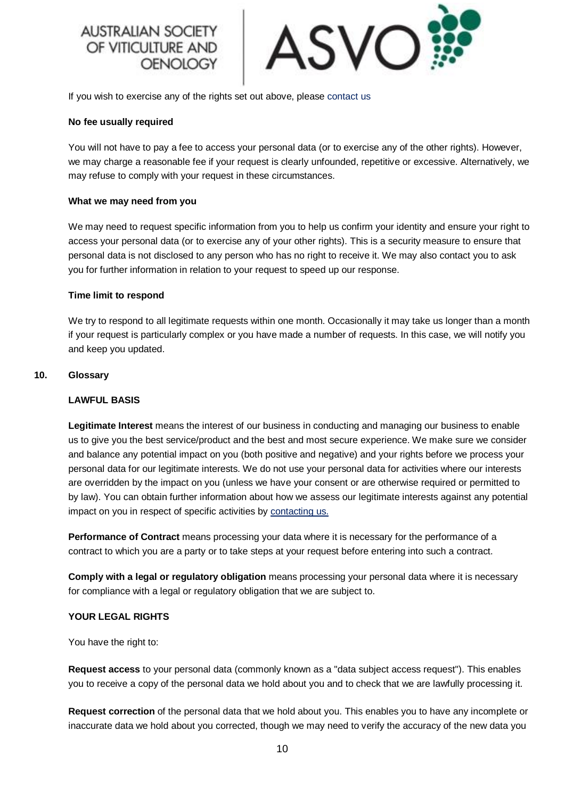# **AUSTRALIAN SOCIE** OF VITICULTURE AND OENOLOGY



If you wish to exercise any of the rights set out above, please [contact us](mailto:asvo@asvo.com.au)

## **No fee usually required**

You will not have to pay a fee to access your personal data (or to exercise any of the other rights). However, we may charge a reasonable fee if your request is clearly unfounded, repetitive or excessive. Alternatively, we may refuse to comply with your request in these circumstances.

## **What we may need from you**

We may need to request specific information from you to help us confirm your identity and ensure your right to access your personal data (or to exercise any of your other rights). This is a security measure to ensure that personal data is not disclosed to any person who has no right to receive it. We may also contact you to ask you for further information in relation to your request to speed up our response.

## **Time limit to respond**

We try to respond to all legitimate requests within one month. Occasionally it may take us longer than a month if your request is particularly complex or you have made a number of requests. In this case, we will notify you and keep you updated.

## **10. Glossary**

## **LAWFUL BASIS**

**Legitimate Interest** means the interest of our business in conducting and managing our business to enable us to give you the best service/product and the best and most secure experience. We make sure we consider and balance any potential impact on you (both positive and negative) and your rights before we process your personal data for our legitimate interests. We do not use your personal data for activities where our interests are overridden by the impact on you (unless we have your consent or are otherwise required or permitted to by law). You can obtain further information about how we assess our legitimate interests against any potential impact on you in respect of specific activities by [contacting us.](mailto:asvo@asvo.com.au)

**Performance of Contract** means processing your data where it is necessary for the performance of a contract to which you are a party or to take steps at your request before entering into such a contract.

**Comply with a legal or regulatory obligation** means processing your personal data where it is necessary for compliance with a legal or regulatory obligation that we are subject to.

# **YOUR LEGAL RIGHTS**

You have the right to:

**Request access** to your personal data (commonly known as a "data subject access request"). This enables you to receive a copy of the personal data we hold about you and to check that we are lawfully processing it.

**Request correction** of the personal data that we hold about you. This enables you to have any incomplete or inaccurate data we hold about you corrected, though we may need to verify the accuracy of the new data you